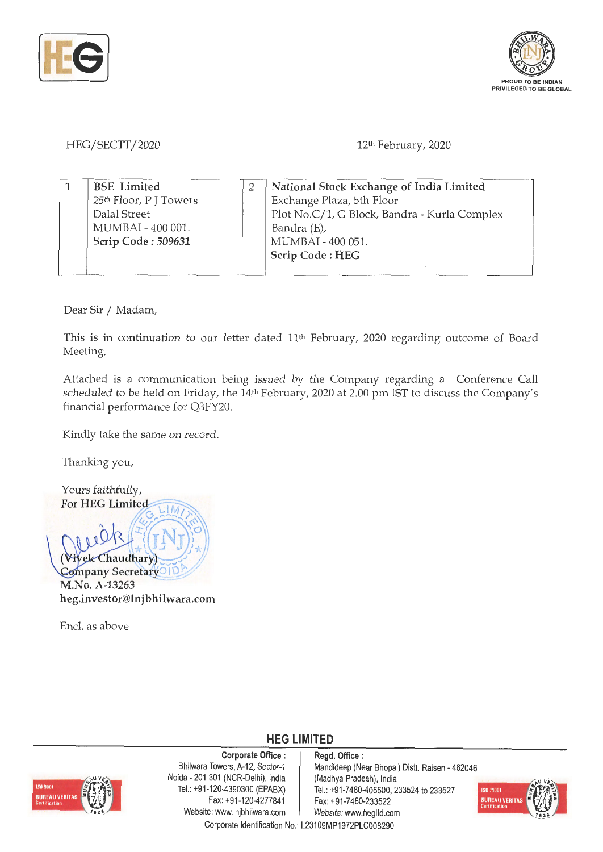



HEG/SECTT/2020

12th February, 2020

| <b>BSE</b> Limited                 | National Stock Exchange of India Limited     |
|------------------------------------|----------------------------------------------|
| 25 <sup>th</sup> Floor, P J Towers | Exchange Plaza, 5th Floor                    |
| Dalal Street                       | Plot No.C/1, G Block, Bandra - Kurla Complex |
| MUMBAI - 400 001.                  | Bandra (E),                                  |
| Scrip Code: 509631                 | MUMBAI - 400 051.                            |
|                                    | Scrip Code: HEG                              |
|                                    |                                              |

Dear Sir / Madam,

This is in continuation to our letter dated 11<sup>th</sup> February, 2020 regarding outcome of Board Meeting.

Attached is a communication being issued by the Company regarding a Conference Call scheduled to be held on Friday, the 14<sup>th</sup> February, 2020 at 2.00 pm IST to discuss the Company's financial performance for Q3FY20.

Kindly take the same on record.

Thanking you,

Yours faithfully, For **HEG** Limited  $\frac{1}{2}$  $\{\{I\}\}^{\star}_{\star}$  $V$ *iy*ek Chaudhary) **Company Secretary** ID **M.No. A-13263 heg.investor@lnjbhilwara.com** 

Encl. as above



**Corporate Office** : Bhilwara Towers, A-12, Sector-1 Naida - 201 301 (NCR-Delhi), India Tel.: +91-120-4390300 (EPABX) Fax: +91-120-4277841 Website: www.lnjbhilwara.com | Website: www.hegltd.com

**Regd. Office** : Mandideep (Near Bhopal) Distt. Raisen - 462046 (Madhya Pradesh), India Tel.: +91 -7480-405500, 233524 to 233527 Fax: +91-7480-233522



Corporate Identification No.: L23109MP1972PLC008290

**HEG LIMITED**